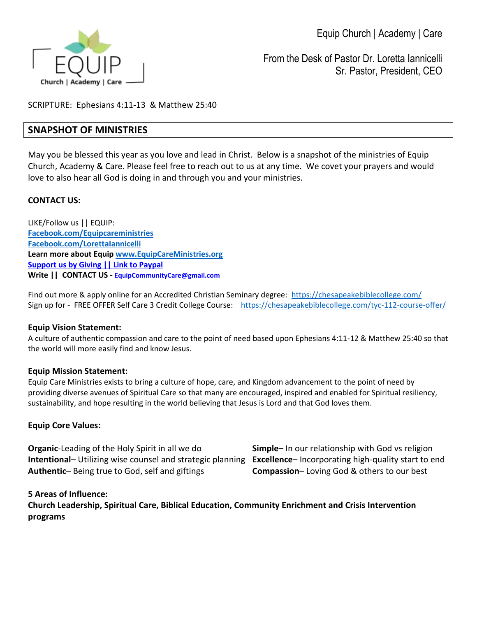

From the Desk of Pastor Dr. Loretta Iannicelli Sr. Pastor, President, CEO

SCRIPTURE: Ephesians 4:11-13 & Matthew 25:40

# **SNAPSHOT OF MINISTRIES**

May you be blessed this year as you love and lead in Christ. Below is a snapshot of the ministries of Equip Church, Academy & Care. Please feel free to reach out to us at any time. We covet your prayers and would love to also hear all God is doing in and through you and your ministries.

## **CONTACT US:**

LIKE/Follow us || EQUIP: **[Facebook.com/Equipcareministries](http://secure-web.cisco.com/1FuLzd2bhUWZfEhzCLHdDrBL5rcGDp-n9AIyvnRg4MtXQzkQl1rJFkVqOh4PtxlhW8wFQtULF5JXoxINNAcu1mNQTe75beKqtoPiJ69A9crZAD2ulVJGPZfeV8CV6EguQ0dk9xtb8eGlciDnwrwqVLNMprV9Qn2A5NA3zjFCZlBDNGafa0rmEZAtHNKOUTqAXouMoqBq6tg2ULg6PQ6QUO8Q0MYlrQ7_ZdR9bO23SRfIHQfO3pu7sFvl4-8KqzIE52mqS0JOk3zIfynkImlfHbkg7MRmblAmvh_X7s4pHR7P9TNoHReKuvtedwKFty9w1ZHZRseFqRA43vBBWNu_CUI1QCZoggPniavS6241AeOA/http%3A%2F%2Fwww.facebook.com%2Fequipcareministries) [Facebook.com/LorettaIannicelli](http://secure-web.cisco.com/1nMv_JKkEsTJd_T-jsXQMThfFPMfFFlTjU06yvEhXm_J0wNfUOH-TXmtFG5yAgbVXBv1zYZQ5Abrs8EplGzyuWwEgzc5JxSIm2N2_z8UXD8mG_kxWE-FhL8W8lrsyN562-aaRXS69dgFdV3Ll67-26BZx4MxZot2FIj_LBGbrZ_cvH7Py9A7xVrdlwmC2d6tzZjaYm3Rf7jXVXRVyIt5IdFWMy9c2abZljpfRQuGQlaOsG99a2wYg_LXmrulnwr4rqIWF8EVZ9tUVoVJtXEmHlfWwWunfFfGXaW8RwgS4-2YQHpou385wBGoEZZXp7kQInmixHrIN7tJW7xFRrly1Wojhsp2r_hRHQ2Kko-jwP48/http%3A%2F%2Fwww.facebook.com%2Florettaiannicelli) Learn more about Equi[p www.EquipCareMinistries.org](http://secure-web.cisco.com/1yEsFCqqwZTlFILMZ5vJzzsPqP07DHgtNkzaQtY1whOPax5pckgy3ferY9TxOcTXHY3NIXCPgQ6qc6IqiOY6HFudMMjD01MoNyxZ_UYDQTTHB-xwd5QfvZKr5mV1woOeGbqNvE5gVjCj_ydegQFh_MvaZ-sI1aajC5XOmwHLnUWIyJvCFSsV7EZN1qwWRGKu2NMQcWtHGiQ3OQR7jszreX1lMSotVd0RI5WjEjSQaPiBnZPLdLjZGUxn4HXMMfcQeE8mWDcZ9179lZdJ_1eKZlZCt-TEgIhmVNBOkiSCdh9JvbeRh6gkLndD0QrzIiH_ohJQ7vhHxKZATBFH1KB1P_w/http%3A%2F%2Fwww.EquipCareMinistries.org) [Support us by Giving || Link to Paypal](https://www.paypal.com/donate/?hosted_button_id=3ZPQCM2YT3CRS) Write || CONTACT US - [EquipCommunityCare@gmail.com](mailto:EquipCommunityCare@gmail.com)**

Find out more & apply online for an Accredited Christian Seminary degree: <https://chesapeakebiblecollege.com/> Sign up for - FREE OFFER Self Care 3 Credit College Course: <https://chesapeakebiblecollege.com/tyc-112-course-offer/>

### **Equip Vision Statement:**

A culture of authentic compassion and care to the point of need based upon Ephesians 4:11-12 & Matthew 25:40 so that the world will more easily find and know Jesus.

### **Equip Mission Statement:**

Equip Care Ministries exists to bring a culture of hope, care, and Kingdom advancement to the point of need by providing diverse avenues of Spiritual Care so that many are encouraged, inspired and enabled for Spiritual resiliency, sustainability, and hope resulting in the world believing that Jesus is Lord and that God loves them.

### **Equip Core Values:**

**Organic**-Leading of the Holy Spirit in all we do **Simple**– In our relationship with God vs religion **Intentional**– Utilizing wise counsel and strategic planning **Excellence**– Incorporating high-quality start to end **Authentic**– Being true to God, self and giftings **Compassion**– Loving God & others to our best

### **5 Areas of Influence:**

**Church Leadership, Spiritual Care, Biblical Education, Community Enrichment and Crisis Intervention programs**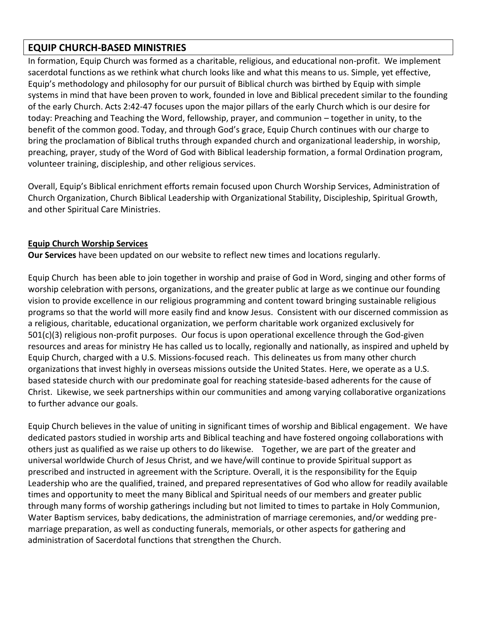# **EQUIP CHURCH-BASED MINISTRIES**

In formation, Equip Church was formed as a charitable, religious, and educational non-profit. We implement sacerdotal functions as we rethink what church looks like and what this means to us. Simple, yet effective, Equip's methodology and philosophy for our pursuit of Biblical church was birthed by Equip with simple systems in mind that have been proven to work, founded in love and Biblical precedent similar to the founding of the early Church. Acts 2:42-47 focuses upon the major pillars of the early Church which is our desire for today: Preaching and Teaching the Word, fellowship, prayer, and communion – together in unity, to the benefit of the common good. Today, and through God's grace, Equip Church continues with our charge to bring the proclamation of Biblical truths through expanded church and organizational leadership, in worship, preaching, prayer, study of the Word of God with Biblical leadership formation, a formal Ordination program, volunteer training, discipleship, and other religious services.

Overall, Equip's Biblical enrichment efforts remain focused upon Church Worship Services, Administration of Church Organization, Church Biblical Leadership with Organizational Stability, Discipleship, Spiritual Growth, and other Spiritual Care Ministries.

## **Equip Church Worship Services**

**Our Services** have been updated on our website to reflect new times and locations regularly.

Equip Church has been able to join together in worship and praise of God in Word, singing and other forms of worship celebration with persons, organizations, and the greater public at large as we continue our founding vision to provide excellence in our religious programming and content toward bringing sustainable religious programs so that the world will more easily find and know Jesus. Consistent with our discerned commission as a religious, charitable, educational organization, we perform charitable work organized exclusively for 501(c)(3) religious non-profit purposes. Our focus is upon operational excellence through the God-given resources and areas for ministry He has called us to locally, regionally and nationally, as inspired and upheld by Equip Church, charged with a U.S. Missions-focused reach. This delineates us from many other church organizations that invest highly in overseas missions outside the United States. Here, we operate as a U.S. based stateside church with our predominate goal for reaching stateside-based adherents for the cause of Christ. Likewise, we seek partnerships within our communities and among varying collaborative organizations to further advance our goals.

Equip Church believes in the value of uniting in significant times of worship and Biblical engagement. We have dedicated pastors studied in worship arts and Biblical teaching and have fostered ongoing collaborations with others just as qualified as we raise up others to do likewise. Together, we are part of the greater and universal worldwide Church of Jesus Christ, and we have/will continue to provide Spiritual support as prescribed and instructed in agreement with the Scripture. Overall, it is the responsibility for the Equip Leadership who are the qualified, trained, and prepared representatives of God who allow for readily available times and opportunity to meet the many Biblical and Spiritual needs of our members and greater public through many forms of worship gatherings including but not limited to times to partake in Holy Communion, Water Baptism services, baby dedications, the administration of marriage ceremonies, and/or wedding premarriage preparation, as well as conducting funerals, memorials, or other aspects for gathering and administration of Sacerdotal functions that strengthen the Church.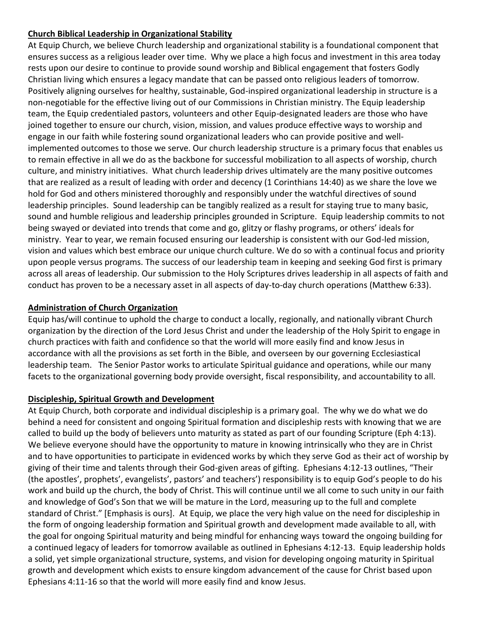## **Church Biblical Leadership in Organizational Stability**

At Equip Church, we believe Church leadership and organizational stability is a foundational component that ensures success as a religious leader over time. Why we place a high focus and investment in this area today rests upon our desire to continue to provide sound worship and Biblical engagement that fosters Godly Christian living which ensures a legacy mandate that can be passed onto religious leaders of tomorrow. Positively aligning ourselves for healthy, sustainable, God-inspired organizational leadership in structure is a non-negotiable for the effective living out of our Commissions in Christian ministry. The Equip leadership team, the Equip credentialed pastors, volunteers and other Equip-designated leaders are those who have joined together to ensure our church, vision, mission, and values produce effective ways to worship and engage in our faith while fostering sound organizational leaders who can provide positive and wellimplemented outcomes to those we serve. Our church leadership structure is a primary focus that enables us to remain effective in all we do as the backbone for successful mobilization to all aspects of worship, church culture, and ministry initiatives. What church leadership drives ultimately are the many positive outcomes that are realized as a result of leading with order and decency (1 Corinthians 14:40) as we share the love we hold for God and others ministered thoroughly and responsibly under the watchful directives of sound leadership principles. Sound leadership can be tangibly realized as a result for staying true to many basic, sound and humble religious and leadership principles grounded in Scripture. Equip leadership commits to not being swayed or deviated into trends that come and go, glitzy or flashy programs, or others' ideals for ministry. Year to year, we remain focused ensuring our leadership is consistent with our God-led mission, vision and values which best embrace our unique church culture. We do so with a continual focus and priority upon people versus programs. The success of our leadership team in keeping and seeking God first is primary across all areas of leadership. Our submission to the Holy Scriptures drives leadership in all aspects of faith and conduct has proven to be a necessary asset in all aspects of day-to-day church operations (Matthew 6:33).

## **Administration of Church Organization**

Equip has/will continue to uphold the charge to conduct a locally, regionally, and nationally vibrant Church organization by the direction of the Lord Jesus Christ and under the leadership of the Holy Spirit to engage in church practices with faith and confidence so that the world will more easily find and know Jesus in accordance with all the provisions as set forth in the Bible, and overseen by our governing Ecclesiastical leadership team. The Senior Pastor works to articulate Spiritual guidance and operations, while our many facets to the organizational governing body provide oversight, fiscal responsibility, and accountability to all.

## **Discipleship, Spiritual Growth and Development**

At Equip Church, both corporate and individual discipleship is a primary goal. The why we do what we do behind a need for consistent and ongoing Spiritual formation and discipleship rests with knowing that we are called to build up the body of believers unto maturity as stated as part of our founding Scripture (Eph 4:13). We believe everyone should have the opportunity to mature in knowing intrinsically who they are in Christ and to have opportunities to participate in evidenced works by which they serve God as their act of worship by giving of their time and talents through their God-given areas of gifting. Ephesians 4:12-13 outlines, "Their (the apostles', prophets', evangelists', pastors' and teachers') responsibility is to equip God's people to do his work and build up the church, the body of Christ. This will continue until we all come to such unity in our faith and knowledge of God's Son that we will be mature in the Lord, measuring up to the full and complete standard of Christ." [Emphasis is ours]. At Equip, we place the very high value on the need for discipleship in the form of ongoing leadership formation and Spiritual growth and development made available to all, with the goal for ongoing Spiritual maturity and being mindful for enhancing ways toward the ongoing building for a continued legacy of leaders for tomorrow available as outlined in Ephesians 4:12-13. Equip leadership holds a solid, yet simple organizational structure, systems, and vision for developing ongoing maturity in Spiritual growth and development which exists to ensure kingdom advancement of the cause for Christ based upon Ephesians 4:11-16 so that the world will more easily find and know Jesus.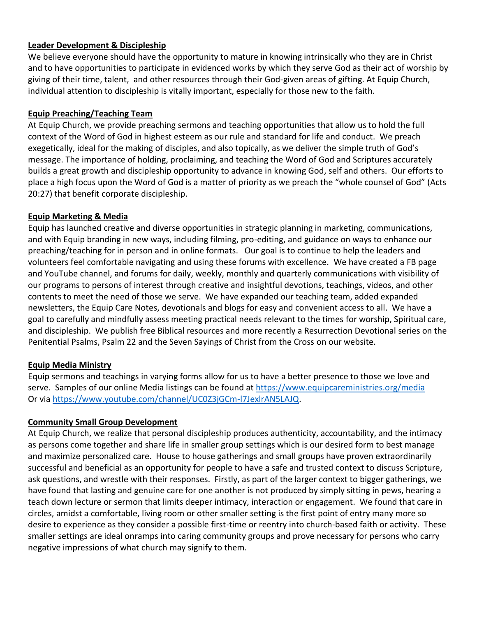### **Leader Development & Discipleship**

We believe everyone should have the opportunity to mature in knowing intrinsically who they are in Christ and to have opportunities to participate in evidenced works by which they serve God as their act of worship by giving of their time, talent, and other resources through their God-given areas of gifting. At Equip Church, individual attention to discipleship is vitally important, especially for those new to the faith.

### **Equip Preaching/Teaching Team**

At Equip Church, we provide preaching sermons and teaching opportunities that allow us to hold the full context of the Word of God in highest esteem as our rule and standard for life and conduct. We preach exegetically, ideal for the making of disciples, and also topically, as we deliver the simple truth of God's message. The importance of holding, proclaiming, and teaching the Word of God and Scriptures accurately builds a great growth and discipleship opportunity to advance in knowing God, self and others. Our efforts to place a high focus upon the Word of God is a matter of priority as we preach the "whole counsel of God" (Acts 20:27) that benefit corporate discipleship.

### **Equip Marketing & Media**

Equip has launched creative and diverse opportunities in strategic planning in marketing, communications, and with Equip branding in new ways, including filming, pro-editing, and guidance on ways to enhance our preaching/teaching for in person and in online formats. Our goal is to continue to help the leaders and volunteers feel comfortable navigating and using these forums with excellence. We have created a FB page and YouTube channel, and forums for daily, weekly, monthly and quarterly communications with visibility of our programs to persons of interest through creative and insightful devotions, teachings, videos, and other contents to meet the need of those we serve. We have expanded our teaching team, added expanded newsletters, the Equip Care Notes, devotionals and blogs for easy and convenient access to all. We have a goal to carefully and mindfully assess meeting practical needs relevant to the times for worship, Spiritual care, and discipleship. We publish free Biblical resources and more recently a Resurrection Devotional series on the Penitential Psalms, Psalm 22 and the Seven Sayings of Christ from the Cross on our website.

## **Equip Media Ministry**

Equip sermons and teachings in varying forms allow for us to have a better presence to those we love and serve. Samples of our online Media listings can be found at<https://www.equipcareministries.org/media> Or via [https://www.youtube.com/channel/UC0Z3jGCm-l7JexlrAN5LAJQ.](https://www.youtube.com/channel/UC0Z3jGCm-l7JexlrAN5LAJQ)

## **Community Small Group Development**

At Equip Church, we realize that personal discipleship produces authenticity, accountability, and the intimacy as persons come together and share life in smaller group settings which is our desired form to best manage and maximize personalized care. House to house gatherings and small groups have proven extraordinarily successful and beneficial as an opportunity for people to have a safe and trusted context to discuss Scripture, ask questions, and wrestle with their responses. Firstly, as part of the larger context to bigger gatherings, we have found that lasting and genuine care for one another is not produced by simply sitting in pews, hearing a teach down lecture or sermon that limits deeper intimacy, interaction or engagement. We found that care in circles, amidst a comfortable, living room or other smaller setting is the first point of entry many more so desire to experience as they consider a possible first-time or reentry into church-based faith or activity. These smaller settings are ideal onramps into caring community groups and prove necessary for persons who carry negative impressions of what church may signify to them.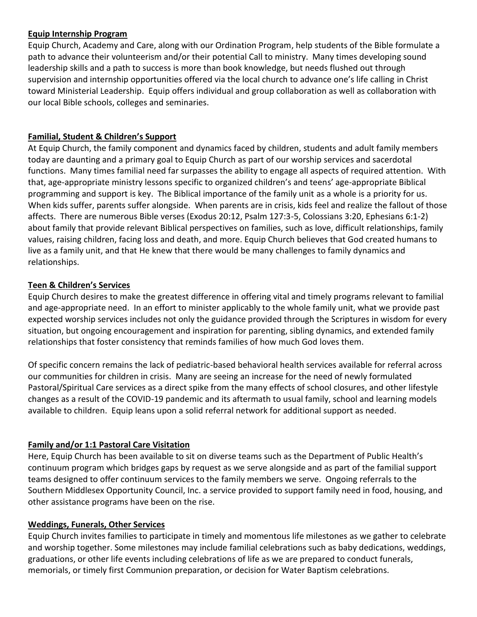## **Equip Internship Program**

Equip Church, Academy and Care, along with our Ordination Program, help students of the Bible formulate a path to advance their volunteerism and/or their potential Call to ministry. Many times developing sound leadership skills and a path to success is more than book knowledge, but needs flushed out through supervision and internship opportunities offered via the local church to advance one's life calling in Christ toward Ministerial Leadership. Equip offers individual and group collaboration as well as collaboration with our local Bible schools, colleges and seminaries.

## **Familial, Student & Children's Support**

At Equip Church, the family component and dynamics faced by children, students and adult family members today are daunting and a primary goal to Equip Church as part of our worship services and sacerdotal functions. Many times familial need far surpasses the ability to engage all aspects of required attention. With that, age-appropriate ministry lessons specific to organized children's and teens' age-appropriate Biblical programming and support is key. The Biblical importance of the family unit as a whole is a priority for us. When kids suffer, parents suffer alongside. When parents are in crisis, kids feel and realize the fallout of those affects. There are numerous Bible verses (Exodus 20:12, Psalm 127:3-5, Colossians 3:20, Ephesians 6:1-2) about family that provide relevant Biblical perspectives on families, such as love, difficult relationships, family values, raising children, facing loss and death, and more. Equip Church believes that God created humans to live as a family unit, and that He knew that there would be many challenges to family dynamics and relationships.

## **Teen & Children's Services**

Equip Church desires to make the greatest difference in offering vital and timely programs relevant to familial and age-appropriate need. In an effort to minister applicably to the whole family unit, what we provide past expected worship services includes not only the guidance provided through the Scriptures in wisdom for every situation, but ongoing encouragement and inspiration for parenting, sibling dynamics, and extended family relationships that foster consistency that reminds families of how much God loves them.

Of specific concern remains the lack of pediatric-based behavioral health services available for referral across our communities for children in crisis. Many are seeing an increase for the need of newly formulated Pastoral/Spiritual Care services as a direct spike from the many effects of school closures, and other lifestyle changes as a result of the COVID-19 pandemic and its aftermath to usual family, school and learning models available to children. Equip leans upon a solid referral network for additional support as needed.

# **Family and/or 1:1 Pastoral Care Visitation**

Here, Equip Church has been available to sit on diverse teams such as the Department of Public Health's continuum program which bridges gaps by request as we serve alongside and as part of the familial support teams designed to offer continuum services to the family members we serve. Ongoing referrals to the Southern Middlesex Opportunity Council, Inc. a service provided to support family need in food, housing, and other assistance programs have been on the rise.

## **Weddings, Funerals, Other Services**

Equip Church invites families to participate in timely and momentous life milestones as we gather to celebrate and worship together. Some milestones may include familial celebrations such as baby dedications, weddings, graduations, or other life events including celebrations of life as we are prepared to conduct funerals, memorials, or timely first Communion preparation, or decision for Water Baptism celebrations.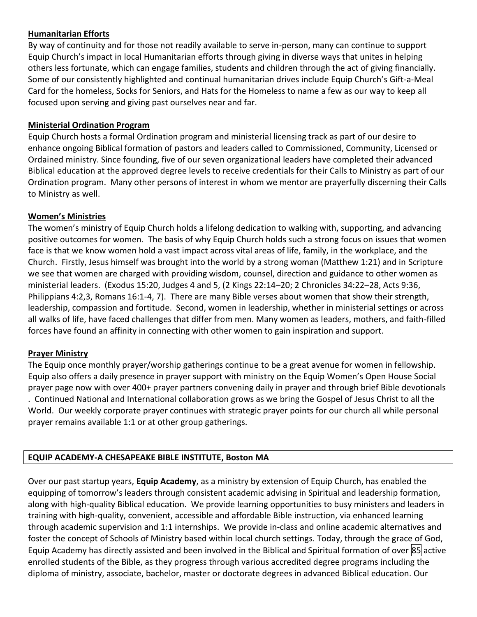## **Humanitarian Efforts**

By way of continuity and for those not readily available to serve in-person, many can continue to support Equip Church's impact in local Humanitarian efforts through giving in diverse ways that unites in helping others less fortunate, which can engage families, students and children through the act of giving financially. Some of our consistently highlighted and continual humanitarian drives include Equip Church's Gift-a-Meal Card for the homeless, Socks for Seniors, and Hats for the Homeless to name a few as our way to keep all focused upon serving and giving past ourselves near and far.

## **Ministerial Ordination Program**

Equip Church hosts a formal Ordination program and ministerial licensing track as part of our desire to enhance ongoing Biblical formation of pastors and leaders called to Commissioned, Community, Licensed or Ordained ministry. Since founding, five of our seven organizational leaders have completed their advanced Biblical education at the approved degree levels to receive credentials for their Calls to Ministry as part of our Ordination program. Many other persons of interest in whom we mentor are prayerfully discerning their Calls to Ministry as well.

## **Women's Ministries**

The women's ministry of Equip Church holds a lifelong dedication to walking with, supporting, and advancing positive outcomes for women. The basis of why Equip Church holds such a strong focus on issues that women face is that we know women hold a vast impact across vital areas of life, family, in the workplace, and the Church. Firstly, Jesus himself was brought into the world by a strong woman (Matthew 1:21) and in Scripture we see that women are charged with providing wisdom, counsel, direction and guidance to other women as ministerial leaders. (Exodus 15:20, Judges 4 and 5, (2 Kings 22:14–20; 2 Chronicles 34:22–28, Acts 9:36, Philippians 4:2,3, Romans 16:1-4, 7). There are many Bible verses about women that show their strength, leadership, compassion and fortitude. Second, women in leadership, whether in ministerial settings or across all walks of life, have faced challenges that differ from men. Many women as leaders, mothers, and faith-filled forces have found an affinity in connecting with other women to gain inspiration and support.

## **Prayer Ministry**

The Equip once monthly prayer/worship gatherings continue to be a great avenue for women in fellowship. Equip also offers a daily presence in prayer support with ministry on the Equip Women's Open House Social prayer page now with over 400+ prayer partners convening daily in prayer and through brief Bible devotionals . Continued National and International collaboration grows as we bring the Gospel of Jesus Christ to all the World. Our weekly corporate prayer continues with strategic prayer points for our church all while personal prayer remains available 1:1 or at other group gatherings.

# **EQUIP ACADEMY-A CHESAPEAKE BIBLE INSTITUTE, Boston MA**

Over our past startup years, **Equip Academy**, as a ministry by extension of Equip Church, has enabled the equipping of tomorrow's leaders through consistent academic advising in Spiritual and leadership formation, along with high-quality Biblical education. We provide learning opportunities to busy ministers and leaders in training with high-quality, convenient, accessible and affordable Bible instruction, via enhanced learning through academic supervision and 1:1 internships. We provide in-class and online academic alternatives and foster the concept of Schools of Ministry based within local church settings. Today, through the grace of God, Equip Academy has directly assisted and been involved in the Biblical and Spiritual formation of over 85 active enrolled students of the Bible, as they progress through various accredited degree programs including the diploma of ministry, associate, bachelor, master or doctorate degrees in advanced Biblical education. Our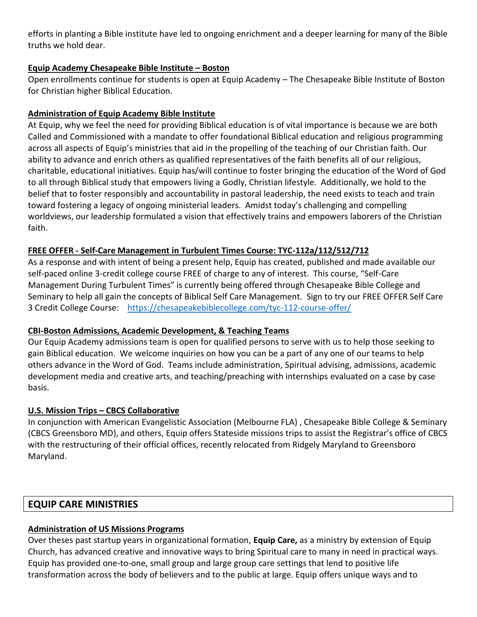efforts in planting a Bible institute have led to ongoing enrichment and a deeper learning for many of the Bible truths we hold dear.

## **Equip Academy Chesapeake Bible Institute – Boston**

Open enrollments continue for students is open at Equip Academy – The Chesapeake Bible Institute of Boston for Christian higher Biblical Education.

## **Administration of Equip Academy Bible Institute**

At Equip, why we feel the need for providing Biblical education is of vital importance is because we are both Called and Commissioned with a mandate to offer foundational Biblical education and religious programming across all aspects of Equip's ministries that aid in the propelling of the teaching of our Christian faith. Our ability to advance and enrich others as qualified representatives of the faith benefits all of our religious, charitable, educational initiatives. Equip has/will continue to foster bringing the education of the Word of God to all through Biblical study that empowers living a Godly, Christian lifestyle. Additionally, we hold to the belief that to foster responsibly and accountability in pastoral leadership, the need exists to teach and train toward fostering a legacy of ongoing ministerial leaders. Amidst today's challenging and compelling worldviews, our leadership formulated a vision that effectively trains and empowers laborers of the Christian faith.

## **FREE OFFER - Self-Care Management in Turbulent Times Course: TYC-112a/112/512/712**

As a response and with intent of being a present help, Equip has created, published and made available our self-paced online 3-credit college course FREE of charge to any of interest. This course, "Self-Care Management During Turbulent Times" is currently being offered through Chesapeake Bible College and Seminary to help all gain the concepts of Biblical Self Care Management. Sign to try our FREE OFFER Self Care 3 Credit College Course: <https://chesapeakebiblecollege.com/tyc-112-course-offer/>

## **CBI-Boston Admissions, Academic Development, & Teaching Teams**

Our Equip Academy admissions team is open for qualified persons to serve with us to help those seeking to gain Biblical education. We welcome inquiries on how you can be a part of any one of our teams to help others advance in the Word of God. Teams include administration, Spiritual advising, admissions, academic development media and creative arts, and teaching/preaching with internships evaluated on a case by case basis.

## **U.S. Mission Trips – CBCS Collaborative**

In conjunction with American Evangelistic Association (Melbourne FLA) , Chesapeake Bible College & Seminary (CBCS Greensboro MD), and others, Equip offers Stateside missions trips to assist the Registrar's office of CBCS with the restructuring of their official offices, recently relocated from Ridgely Maryland to Greensboro Maryland.

# **EQUIP CARE MINISTRIES**

# **Administration of US Missions Programs**

Over theses past startup years in organizational formation, **Equip Care,** as a ministry by extension of Equip Church, has advanced creative and innovative ways to bring Spiritual care to many in need in practical ways. Equip has provided one-to-one, small group and large group care settings that lend to positive life transformation across the body of believers and to the public at large. Equip offers unique ways and to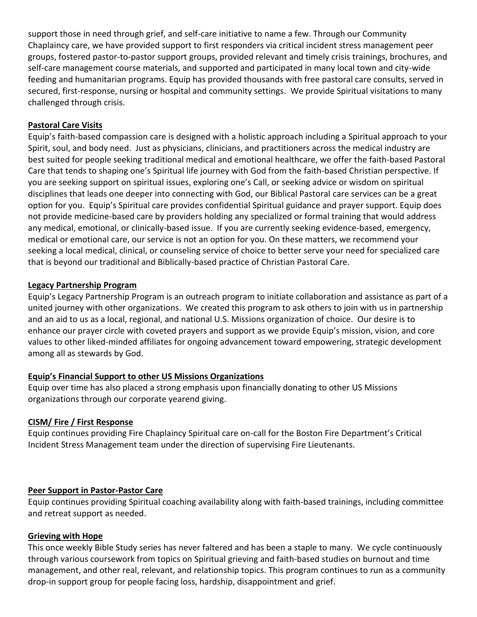support those in need through grief, and self-care initiative to name a few. Through our Community Chaplaincy care, we have provided support to first responders via critical incident stress management peer groups, fostered pastor-to-pastor support groups, provided relevant and timely crisis trainings, brochures, and self-care management course materials, and supported and participated in many local town and city-wide feeding and humanitarian programs. Equip has provided thousands with free pastoral care consults, served in secured, first-response, nursing or hospital and community settings. We provide Spiritual visitations to many challenged through crisis.

## **Pastoral Care Visits**

Equip's faith-based compassion care is designed with a holistic approach including a Spiritual approach to your Spirit, soul, and body need. Just as physicians, clinicians, and practitioners across the medical industry are best suited for people seeking traditional medical and emotional healthcare, we offer the faith-based Pastoral Care that tends to shaping one's Spiritual life journey with God from the faith-based Christian perspective. If you are seeking support on spiritual issues, exploring one's Call, or seeking advice or wisdom on spiritual disciplines that leads one deeper into connecting with God, our Biblical Pastoral care services can be a great option for you. Equip's Spiritual care provides confidential Spiritual guidance and prayer support. Equip does not provide medicine-based care by providers holding any specialized or formal training that would address any medical, emotional, or clinically-based issue. If you are currently seeking evidence-based, emergency, medical or emotional care, our service is not an option for you. On these matters, we recommend your seeking a local medical, clinical, or counseling service of choice to better serve your need for specialized care that is beyond our traditional and Biblically-based practice of Christian Pastoral Care.

### **Legacy Partnership Program**

Equip's Legacy Partnership Program is an outreach program to initiate collaboration and assistance as part of a united journey with other organizations. We created this program to ask others to join with us in partnership and an aid to us as a local, regional, and national U.S. Missions organization of choice. Our desire is to enhance our prayer circle with coveted prayers and support as we provide Equip's mission, vision, and core values to other liked-minded affiliates for ongoing advancement toward empowering, strategic development among all as stewards by God.

## **Equip's Financial Support to other US Missions Organizations**

Equip over time has also placed a strong emphasis upon financially donating to other US Missions organizations through our corporate yearend giving.

## **CISM/ Fire / First Response**

Equip continues providing Fire Chaplaincy Spiritual care on-call for the Boston Fire Department's Critical Incident Stress Management team under the direction of supervising Fire Lieutenants.

### **Peer Support in Pastor-Pastor Care**

Equip continues providing Spiritual coaching availability along with faith-based trainings, including committee and retreat support as needed.

### **Grieving with Hope**

This once weekly Bible Study series has never faltered and has been a staple to many. We cycle continuously through various coursework from topics on Spiritual grieving and faith-based studies on burnout and time management, and other real, relevant, and relationship topics. This program continues to run as a community drop-in support group for people facing loss, hardship, disappointment and grief.